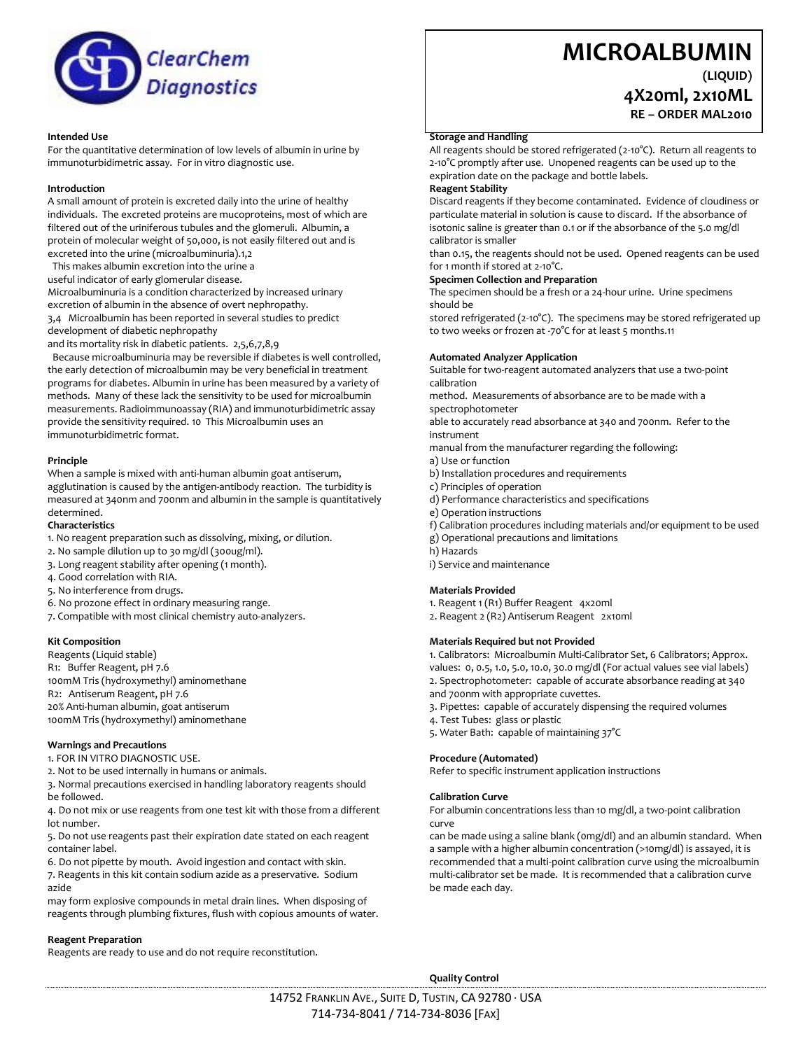

#### **Intended Use**

For the quantitative determination of low levels of albumin in urine by immunoturbidimetric assay. For in vitro diagnostic use.

#### **Introduction**

A small amount of protein is excreted daily into the urine of healthy individuals. The excreted proteins are mucoproteins, most of which are filtered out of the uriniferous tubules and the glomeruli. Albumin, a protein of molecular weight of 50,000, is not easily filtered out and is excreted into the urine (microalbuminuria).1,2

This makes albumin excretion into the urine a

useful indicator of early glomerular disease.

Microalbuminuria is a condition characterized by increased urinary excretion of albumin in the absence of overt nephropathy.

3,4 Microalbumin has been reported in several studies to predict development of diabetic nephropathy

and its mortality risk in diabetic patients. 2,5,6,7,8,9

 Because microalbuminuria may be reversible if diabetes is well controlled, the early detection of microalbumin may be very beneficial in treatment programs for diabetes. Albumin in urine has been measured by a variety of methods. Many of these lack the sensitivity to be used for microalbumin measurements. Radioimmunoassay (RIA) and immunoturbidimetric assay provide the sensitivity required. 10 This Microalbumin uses an immunoturbidimetric format.

#### **Principle**

When a sample is mixed with anti-human albumin goat antiserum, agglutination is caused by the antigen-antibody reaction. The turbidity is measured at 340nm and 700nm and albumin in the sample is quantitatively determined.

#### **Characteristics**

1. No reagent preparation such as dissolving, mixing, or dilution.

- 2. No sample dilution up to 30 mg/dl (300ug/ml).
- 3. Long reagent stability after opening (1 month).
- 4. Good correlation with RIA.
- 5. No interference from drugs.
- 6. No prozone effect in ordinary measuring range.

7. Compatible with most clinical chemistry auto-analyzers.

#### **Kit Composition**

Reagents (Liquid stable) R1: Buffer Reagent, pH 7.6 100mM Tris (hydroxymethyl) aminomethane R2: Antiserum Reagent, pH 7.6 20% Anti-human albumin, goat antiserum 100mM Tris (hydroxymethyl) aminomethane

#### **Warnings and Precautions**

- 1. FOR IN VITRO DIAGNOSTIC USE.
- 2. Not to be used internally in humans or animals.

3. Normal precautions exercised in handling laboratory reagents should be followed.

4. Do not mix or use reagents from one test kit with those from a different lot number.

5. Do not use reagents past their expiration date stated on each reagent container label.

6. Do not pipette by mouth. Avoid ingestion and contact with skin. 7. Reagents in this kit contain sodium azide as a preservative. Sodium azide

may form explosive compounds in metal drain lines. When disposing of reagents through plumbing fixtures, flush with copious amounts of water.

#### **Reagent Preparation**

Reagents are ready to use and do not require reconstitution.

# **MICROALBUMIN**

**(LIQUID)**

# **4X20ml, 2x10ML**

**RE – ORDER MAL2010**

#### **Storage and Handling**

All reagents should be stored refrigerated (2-10°C). Return all reagents to 2-10°C promptly after use. Unopened reagents can be used up to the expiration date on the package and bottle labels.

## **Reagent Stability**

Discard reagents if they become contaminated. Evidence of cloudiness or particulate material in solution is cause to discard. If the absorbance of isotonic saline is greater than 0.1 or if the absorbance of the 5.0 mg/dl calibrator is smaller

than 0.15, the reagents should not be used. Opened reagents can be used for 1 month if stored at 2-10°C.

#### **Specimen Collection and Preparation**

The specimen should be a fresh or a 24-hour urine. Urine specimens should be

stored refrigerated (2-10°C). The specimens may be stored refrigerated up to two weeks or frozen at -70°C for at least 5 months.11

#### **Automated Analyzer Application**

Suitable for two-reagent automated analyzers that use a two-point calibration

method. Measurements of absorbance are to be made with a spectrophotometer

able to accurately read absorbance at 340 and 700nm. Refer to the instrument

manual from the manufacturer regarding the following:

- a) Use or function
- b) Installation procedures and requirements
- c) Principles of operation
- d) Performance characteristics and specifications
- e) Operation instructions
- f) Calibration procedures including materials and/or equipment to be used
- g) Operational precautions and limitations
- h) Hazards
- i) Service and maintenance

#### **Materials Provided**

1. Reagent 1 (R1) Buffer Reagent 4x20ml

2. Reagent 2 (R2) Antiserum Reagent 2x10ml

#### **Materials Required but not Provided**

1. Calibrators: Microalbumin Multi-Calibrator Set, 6 Calibrators; Approx. values: 0, 0.5, 1.0, 5.0, 10.0, 30.0 mg/dl (For actual values see vial labels) 2. Spectrophotometer: capable of accurate absorbance reading at 340 and 700nm with appropriate cuvettes.

- 3. Pipettes: capable of accurately dispensing the required volumes
- 4. Test Tubes: glass or plastic
- 5. Water Bath: capable of maintaining 37°C

#### **Procedure (Automated)**

Refer to specific instrument application instructions

#### **Calibration Curve**

For albumin concentrations less than 10 mg/dl, a two-point calibration curve

can be made using a saline blank (0mg/dl) and an albumin standard. When a sample with a higher albumin concentration (>10mg/dl) is assayed, it is recommended that a multi-point calibration curve using the microalbumin multi-calibrator set be made. It is recommended that a calibration curve be made each day.